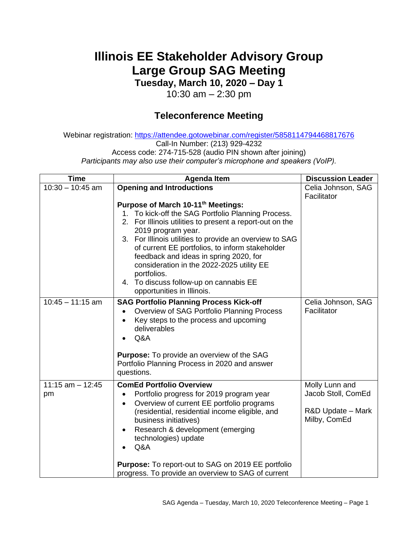## **Illinois EE Stakeholder Advisory Group Large Group SAG Meeting**

**Tuesday, March 10, 2020 – Day 1**

10:30 am – 2:30 pm

## **Teleconference Meeting**

Webinar registration:<https://attendee.gotowebinar.com/register/5858114794468817676> Call-In Number: (213) 929-4232 Access code: 274-715-528 (audio PIN shown after joining) *Participants may also use their computer's microphone and speakers (VoIP).*

| <b>Time</b>               | <b>Agenda Item</b>                                                                                                                                                                                                                                                                                                                                                                                                                                                     | <b>Discussion Leader</b>                                                  |
|---------------------------|------------------------------------------------------------------------------------------------------------------------------------------------------------------------------------------------------------------------------------------------------------------------------------------------------------------------------------------------------------------------------------------------------------------------------------------------------------------------|---------------------------------------------------------------------------|
| $10:30 - 10:45$ am        | <b>Opening and Introductions</b>                                                                                                                                                                                                                                                                                                                                                                                                                                       | Celia Johnson, SAG<br>Facilitator                                         |
|                           | Purpose of March 10-11th Meetings:<br>1. To kick-off the SAG Portfolio Planning Process.<br>2. For Illinois utilities to present a report-out on the<br>2019 program year.<br>3. For Illinois utilities to provide an overview to SAG<br>of current EE portfolios, to inform stakeholder<br>feedback and ideas in spring 2020, for<br>consideration in the 2022-2025 utility EE<br>portfolios.<br>4. To discuss follow-up on cannabis EE<br>opportunities in Illinois. |                                                                           |
| $10:45 - 11:15$ am        | <b>SAG Portfolio Planning Process Kick-off</b><br>Overview of SAG Portfolio Planning Process<br>Key steps to the process and upcoming<br>$\bullet$<br>deliverables<br>Q&A<br><b>Purpose:</b> To provide an overview of the SAG<br>Portfolio Planning Process in 2020 and answer<br>questions.                                                                                                                                                                          | Celia Johnson, SAG<br>Facilitator                                         |
| $11:15$ am $-12:45$<br>pm | <b>ComEd Portfolio Overview</b><br>Portfolio progress for 2019 program year<br>Overview of current EE portfolio programs<br>$\bullet$<br>(residential, residential income eligible, and<br>business initiatives)<br>Research & development (emerging<br>$\bullet$<br>technologies) update<br>Q&A<br><b>Purpose:</b> To report-out to SAG on 2019 EE portfolio                                                                                                          | Molly Lunn and<br>Jacob Stoll, ComEd<br>R&D Update - Mark<br>Milby, ComEd |
|                           | progress. To provide an overview to SAG of current                                                                                                                                                                                                                                                                                                                                                                                                                     |                                                                           |